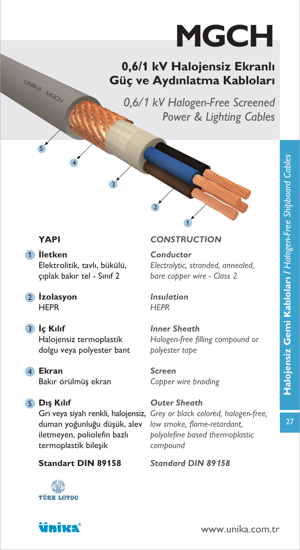## **MGCH**

## 0,6/1 kV Halojensiz Ekranlı Güç ve Aydınlatma Kabloları

 0,6/*1* kV Halogen-Free Screened Power & Lighting Cables

5

UNIKA MOON

1 lletken Elektrolitik, tavlı, bükülü, çıplak bakır tel - Sınıf 2

4

Conductor

Electrolytic, stranded, annealed, bare copper wire - Class 2

2 Izolasyon **HEPR** 

5 Dış Kılıf



Ekran 4 Bakır örülmüş ekran

> Gri veya siyah renkli, halojensiz, duman yoğunluğu düşük, alev iletmeyen, poliolefin bazlı termoplastik bileşik

## **YAPI CONSTRUCTION**

1

Insulation **HEPR** 

2

3

Inner Sheath Halogen-free filling compound or polyester tape

Screen Copper wire braiding

Outer Sheath Grey or black colored, halogen-free, low smoke, flame-retardant, polyolefine based thermoplastic compound

Standart DIN 89**1**58 Standard DIN 89*1*58





27

www.unika.com.tr